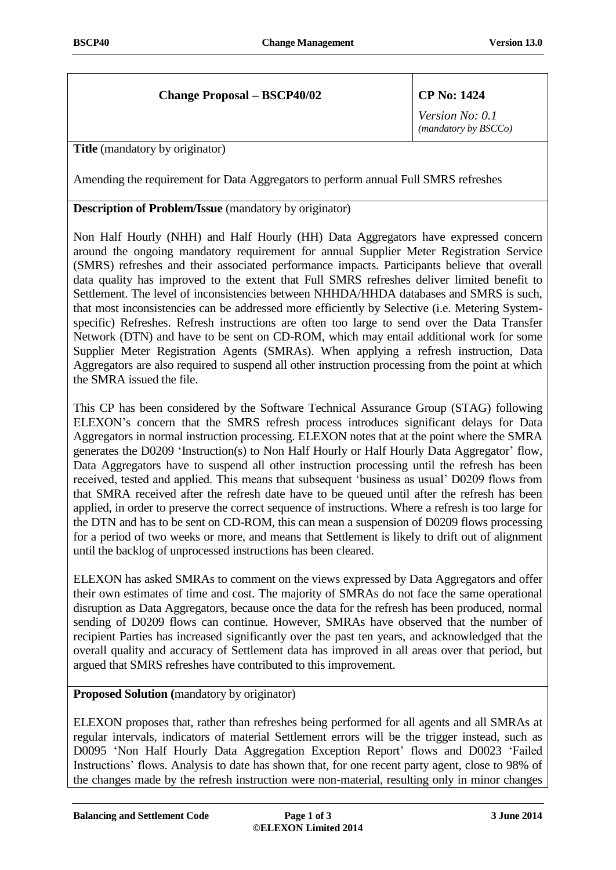## **Change Proposal – BSCP40/02 CP No: 1424**

*Version No: 0.1 (mandatory by BSCCo)*

**Title** (mandatory by originator)

Amending the requirement for Data Aggregators to perform annual Full SMRS refreshes

## **Description of Problem/Issue** (mandatory by originator)

Non Half Hourly (NHH) and Half Hourly (HH) Data Aggregators have expressed concern around the ongoing mandatory requirement for annual Supplier Meter Registration Service (SMRS) refreshes and their associated performance impacts. Participants believe that overall data quality has improved to the extent that Full SMRS refreshes deliver limited benefit to Settlement. The level of inconsistencies between NHHDA/HHDA databases and SMRS is such, that most inconsistencies can be addressed more efficiently by Selective (i.e. Metering Systemspecific) Refreshes. Refresh instructions are often too large to send over the Data Transfer Network (DTN) and have to be sent on CD-ROM, which may entail additional work for some Supplier Meter Registration Agents (SMRAs). When applying a refresh instruction, Data Aggregators are also required to suspend all other instruction processing from the point at which the SMRA issued the file.

This CP has been considered by the Software Technical Assurance Group (STAG) following ELEXON's concern that the SMRS refresh process introduces significant delays for Data Aggregators in normal instruction processing. ELEXON notes that at the point where the SMRA generates the D0209 'Instruction(s) to Non Half Hourly or Half Hourly Data Aggregator' flow, Data Aggregators have to suspend all other instruction processing until the refresh has been received, tested and applied. This means that subsequent 'business as usual' D0209 flows from that SMRA received after the refresh date have to be queued until after the refresh has been applied, in order to preserve the correct sequence of instructions. Where a refresh is too large for the DTN and has to be sent on CD-ROM, this can mean a suspension of D0209 flows processing for a period of two weeks or more, and means that Settlement is likely to drift out of alignment until the backlog of unprocessed instructions has been cleared.

ELEXON has asked SMRAs to comment on the views expressed by Data Aggregators and offer their own estimates of time and cost. The majority of SMRAs do not face the same operational disruption as Data Aggregators, because once the data for the refresh has been produced, normal sending of D0209 flows can continue. However, SMRAs have observed that the number of recipient Parties has increased significantly over the past ten years, and acknowledged that the overall quality and accuracy of Settlement data has improved in all areas over that period, but argued that SMRS refreshes have contributed to this improvement.

**Proposed Solution (**mandatory by originator)

ELEXON proposes that, rather than refreshes being performed for all agents and all SMRAs at regular intervals, indicators of material Settlement errors will be the trigger instead, such as D0095 'Non Half Hourly Data Aggregation Exception Report' flows and D0023 'Failed Instructions' flows. Analysis to date has shown that, for one recent party agent, close to 98% of the changes made by the refresh instruction were non-material, resulting only in minor changes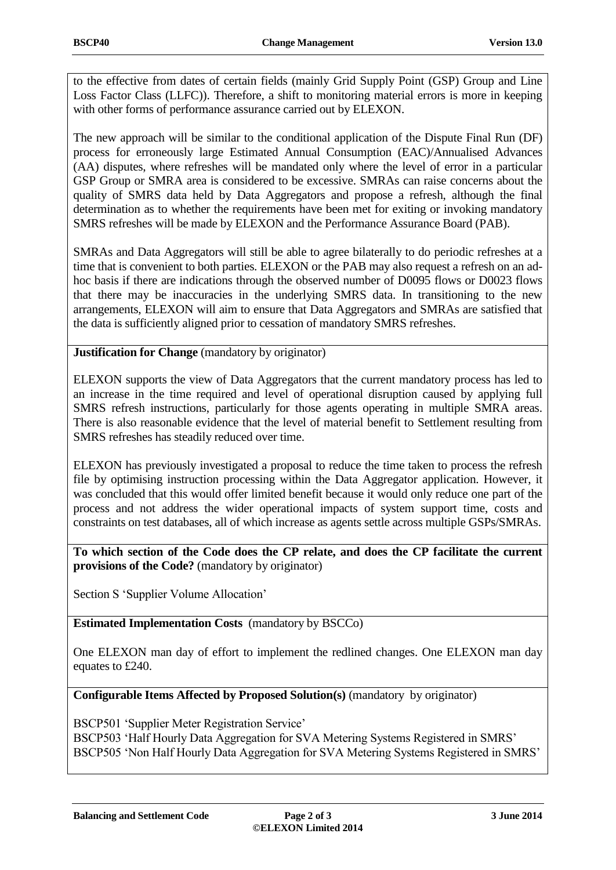to the effective from dates of certain fields (mainly Grid Supply Point (GSP) Group and Line Loss Factor Class (LLFC)). Therefore, a shift to monitoring material errors is more in keeping with other forms of performance assurance carried out by ELEXON.

The new approach will be similar to the conditional application of the Dispute Final Run (DF) process for erroneously large Estimated Annual Consumption (EAC)/Annualised Advances (AA) disputes, where refreshes will be mandated only where the level of error in a particular GSP Group or SMRA area is considered to be excessive. SMRAs can raise concerns about the quality of SMRS data held by Data Aggregators and propose a refresh, although the final determination as to whether the requirements have been met for exiting or invoking mandatory SMRS refreshes will be made by ELEXON and the Performance Assurance Board (PAB).

SMRAs and Data Aggregators will still be able to agree bilaterally to do periodic refreshes at a time that is convenient to both parties. ELEXON or the PAB may also request a refresh on an adhoc basis if there are indications through the observed number of D0095 flows or D0023 flows that there may be inaccuracies in the underlying SMRS data. In transitioning to the new arrangements, ELEXON will aim to ensure that Data Aggregators and SMRAs are satisfied that the data is sufficiently aligned prior to cessation of mandatory SMRS refreshes.

**Justification for Change** (mandatory by originator)

ELEXON supports the view of Data Aggregators that the current mandatory process has led to an increase in the time required and level of operational disruption caused by applying full SMRS refresh instructions, particularly for those agents operating in multiple SMRA areas. There is also reasonable evidence that the level of material benefit to Settlement resulting from SMRS refreshes has steadily reduced over time.

ELEXON has previously investigated a proposal to reduce the time taken to process the refresh file by optimising instruction processing within the Data Aggregator application. However, it was concluded that this would offer limited benefit because it would only reduce one part of the process and not address the wider operational impacts of system support time, costs and constraints on test databases, all of which increase as agents settle across multiple GSPs/SMRAs.

**To which section of the Code does the CP relate, and does the CP facilitate the current provisions of the Code?** (mandatory by originator)

Section S 'Supplier Volume Allocation'

**Estimated Implementation Costs** (mandatory by BSCCo)

One ELEXON man day of effort to implement the redlined changes. One ELEXON man day equates to £240.

**Configurable Items Affected by Proposed Solution(s)** (mandatory by originator)

BSCP501 'Supplier Meter Registration Service' BSCP503 'Half Hourly Data Aggregation for SVA Metering Systems Registered in SMRS' BSCP505 'Non Half Hourly Data Aggregation for SVA Metering Systems Registered in SMRS'